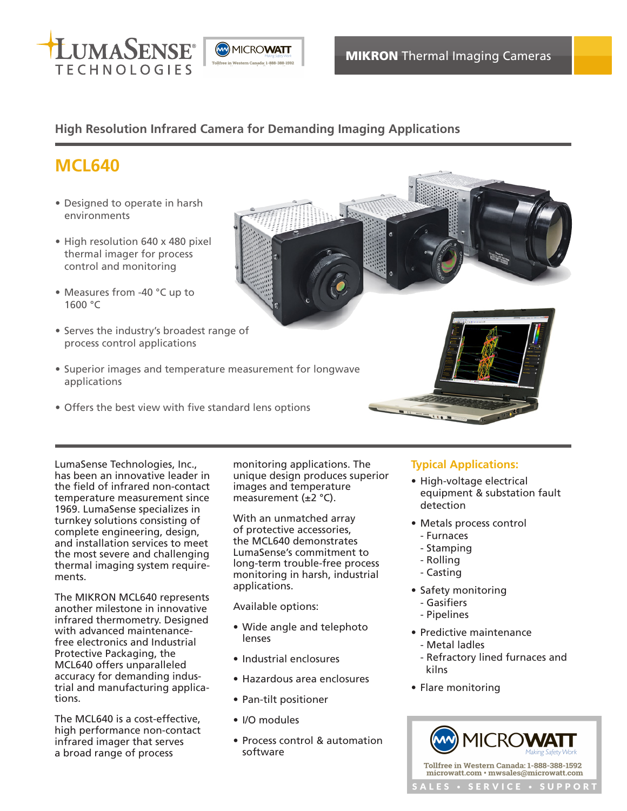

# **High Resolution Infrared Camera for Demanding Imaging Applications**

# **MCL640**

- Designed to operate in harsh environments
- High resolution 640 x 480 pixel thermal imager for process control and monitoring
- Measures from -40 °C up to 1600 °C
- Serves the industry's broadest range of process control applications
- Superior images and temperature measurement for longwave applications
- Offers the best view with five standard lens options



The MIKRON MCL640 represents another milestone in innovative infrared thermometry. Designed with advanced maintenancefree electronics and Industrial Protective Packaging, the MCL640 offers unparalleled accuracy for demanding industrial and manufacturing applications.

The MCL640 is a cost-effective, high performance non-contact infrared imager that serves a broad range of process

monitoring applications. The unique design produces superior images and temperature measurement (±2 °C).

With an unmatched array of protective accessories, the MCL640 demonstrates LumaSense's commitment to long-term trouble-free process monitoring in harsh, industrial applications.

Available options:

- Wide angle and telephoto lenses
- Industrial enclosures
- Hazardous area enclosures
- Pan-tilt positioner
- I/O modules
- Process control & automation software

## **Typical Applications:**

- High-voltage electrical equipment & substation fault detection
- Metals process control - Furnaces
	- Stamping
	- Rolling
	- Casting
- Safety monitoring - Gasifiers
	- Pipelines
- Predictive maintenance
- Metal ladles
- Refractory lined furnaces and kilns
- Flare monitoring